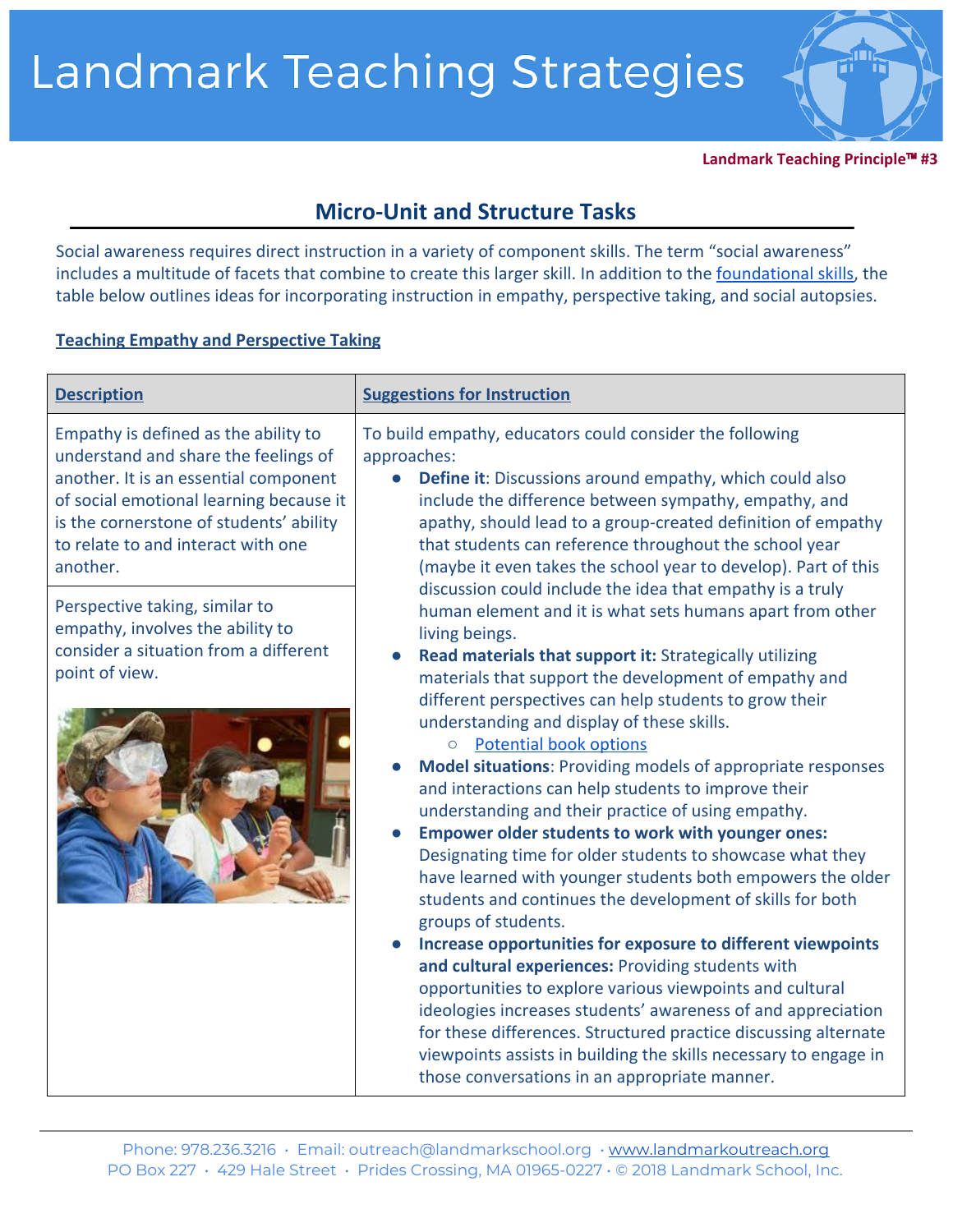**Landmark Teaching Principle**™ **#3**

# **Micro-Unit and Structure Tasks**

Social awareness requires direct instruction in a variety of component skills. The term "social awareness" includes a multitude of facets that combine to create this larger skill. In addition to the [foundational skills,](http://www.landmarkoutreach.org/wp-content/uploads/Foundational-Skills-for-Developing-Social-Awareness-.pdf) the table below outlines ideas for incorporating instruction in empathy, perspective taking, and social autopsies.

## **Teaching Empathy and Perspective Taking**

| <b>Description</b>                                                                                                                                                                                                                                            | <b>Suggestions for Instruction</b>                                                                                                                                                                                                                                                                                                                                                                                                                                                                                                                                                                                                                                                                                                                                                                                                                                                                                                                                                                                                                                                                                                                                                                                                                                                                                                                                                                                                                                                                                                                                                                                                                                                                                                    |
|---------------------------------------------------------------------------------------------------------------------------------------------------------------------------------------------------------------------------------------------------------------|---------------------------------------------------------------------------------------------------------------------------------------------------------------------------------------------------------------------------------------------------------------------------------------------------------------------------------------------------------------------------------------------------------------------------------------------------------------------------------------------------------------------------------------------------------------------------------------------------------------------------------------------------------------------------------------------------------------------------------------------------------------------------------------------------------------------------------------------------------------------------------------------------------------------------------------------------------------------------------------------------------------------------------------------------------------------------------------------------------------------------------------------------------------------------------------------------------------------------------------------------------------------------------------------------------------------------------------------------------------------------------------------------------------------------------------------------------------------------------------------------------------------------------------------------------------------------------------------------------------------------------------------------------------------------------------------------------------------------------------|
| Empathy is defined as the ability to<br>understand and share the feelings of<br>another. It is an essential component<br>of social emotional learning because it<br>is the cornerstone of students' ability<br>to relate to and interact with one<br>another. | To build empathy, educators could consider the following<br>approaches:<br><b>Define it:</b> Discussions around empathy, which could also<br>$\bullet$<br>include the difference between sympathy, empathy, and<br>apathy, should lead to a group-created definition of empathy<br>that students can reference throughout the school year<br>(maybe it even takes the school year to develop). Part of this<br>discussion could include the idea that empathy is a truly<br>human element and it is what sets humans apart from other<br>living beings.<br>Read materials that support it: Strategically utilizing<br>materials that support the development of empathy and<br>different perspectives can help students to grow their<br>understanding and display of these skills.<br><b>Potential book options</b><br>$\circ$<br><b>Model situations: Providing models of appropriate responses</b><br>and interactions can help students to improve their<br>understanding and their practice of using empathy.<br><b>Empower older students to work with younger ones:</b><br>Designating time for older students to showcase what they<br>have learned with younger students both empowers the older<br>students and continues the development of skills for both<br>groups of students.<br>Increase opportunities for exposure to different viewpoints<br>and cultural experiences: Providing students with<br>opportunities to explore various viewpoints and cultural<br>ideologies increases students' awareness of and appreciation<br>for these differences. Structured practice discussing alternate<br>viewpoints assists in building the skills necessary to engage in<br>those conversations in an appropriate manner. |
| Perspective taking, similar to<br>empathy, involves the ability to<br>consider a situation from a different<br>point of view.                                                                                                                                 |                                                                                                                                                                                                                                                                                                                                                                                                                                                                                                                                                                                                                                                                                                                                                                                                                                                                                                                                                                                                                                                                                                                                                                                                                                                                                                                                                                                                                                                                                                                                                                                                                                                                                                                                       |